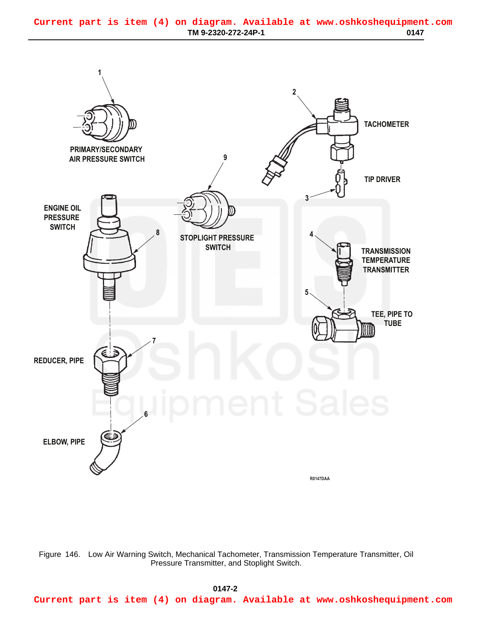## <span id="page-0-0"></span>**TM 9-2320-272-24P-1 0147 Current part is item (4) on diagram. Available at www.oshkoshequipment.com**



Figure 146. Low Air Warning Switch, Mechanical Tachometer, Transmission Temperature Transmitter, Oil Pressure Transmitter, and Stoplight Switch.

## **0147-2 03/15/2011 Rel(1.8) root(plwp) wpno(R00147)**

**Current part is item (4) on diagram. Available at www.oshkoshequipment.com**